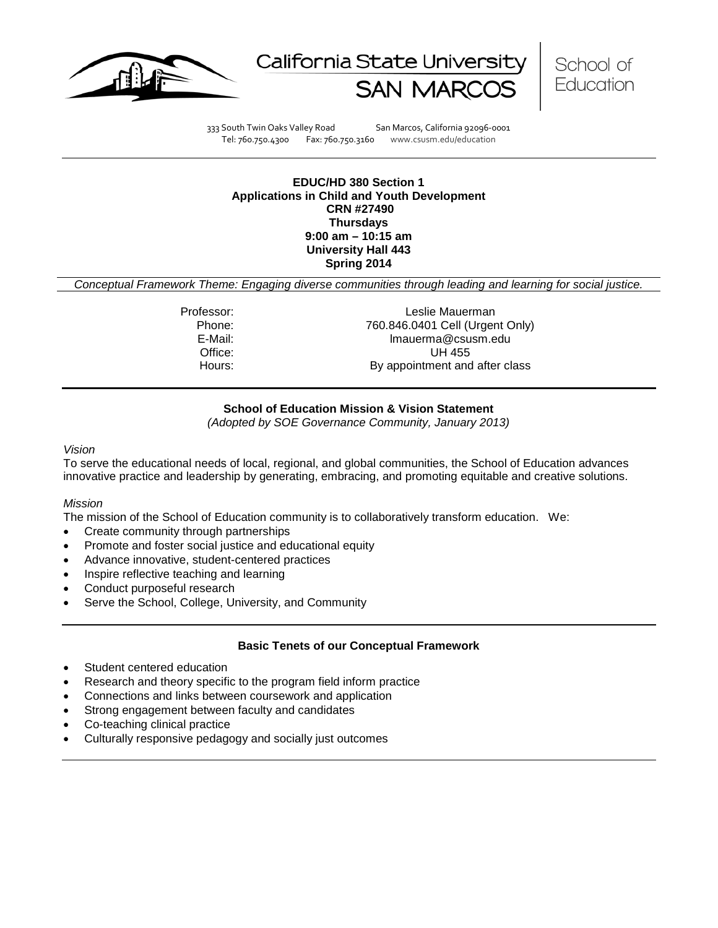





333 South Twin Oaks Valley Road San Marcos, California 92096-0001 Tel: 760.750.4300 Fax: 760.750.3160 www.csusm.edu/education

### **EDUC/HD 380 Section 1 Applications in Child and Youth Development CRN #27490 Thursdays 9:00 am – 10:15 am University Hall 443 Spring 2014**

*Conceptual Framework Theme: Engaging diverse communities through leading and learning for social justice.*

Professor: Leslie Mauerman Phone: 760.846.0401 Cell (Urgent Only)<br>E-Mail: Formal Care (Image mail of the Mail: E-Mail: lmauerma@csusm.edu Office: UH 455 Hours: By appointment and after class

# **School of Education Mission & Vision Statement**

*(Adopted by SOE Governance Community, January 2013)*

#### *Vision*

To serve the educational needs of local, regional, and global communities, the School of Education advances innovative practice and leadership by generating, embracing, and promoting equitable and creative solutions.

# *Mission*

The mission of the School of Education community is to collaboratively transform education. We:

- Create community through partnerships
- Promote and foster social justice and educational equity
- Advance innovative, student-centered practices
- Inspire reflective teaching and learning
- Conduct purposeful research
- Serve the School, College, University, and Community

### **Basic Tenets of our Conceptual Framework**

- Student centered education
- Research and theory specific to the program field inform practice
- Connections and links between coursework and application
- Strong engagement between faculty and candidates
- Co-teaching clinical practice
- Culturally responsive pedagogy and socially just outcomes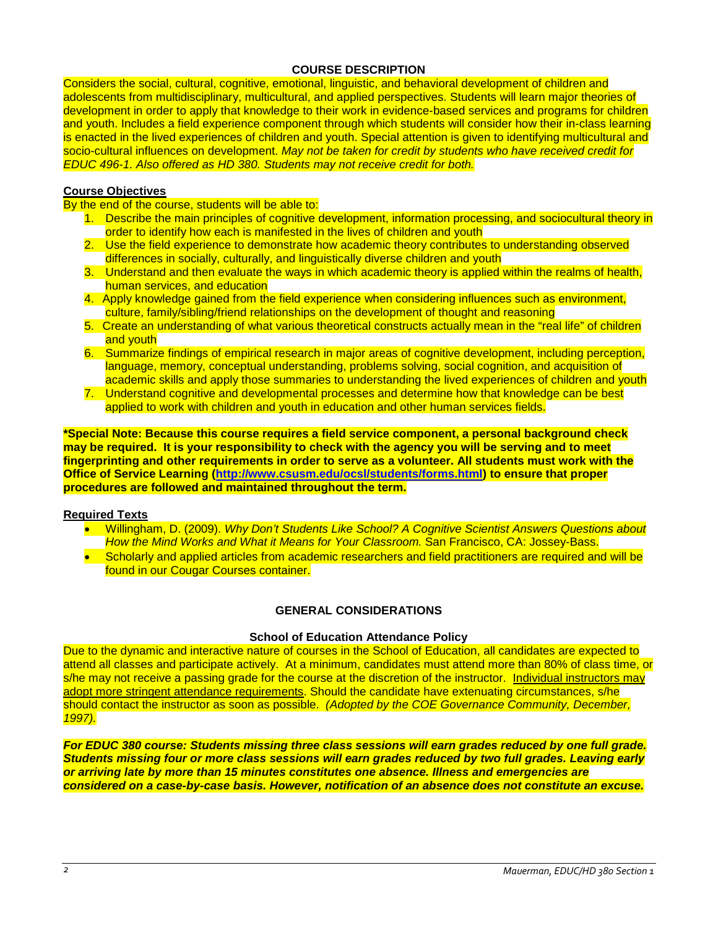# **COURSE DESCRIPTION**

Considers the social, cultural, cognitive, emotional, linguistic, and behavioral development of children and adolescents from multidisciplinary, multicultural, and applied perspectives. Students will learn major theories of development in order to apply that knowledge to their work in evidence-based services and programs for children and youth. Includes a field experience component through which students will consider how their in-class learning is enacted in the lived experiences of children and youth. Special attention is given to identifying multicultural and socio-cultural influences on development. *May not be taken for credit by students who have received credit for EDUC 496-1. Also offered as HD 380. Students may not receive credit for both.*

# **Course Objectives**

By the end of the course, students will be able to:

- 1. Describe the main principles of cognitive development, information processing, and sociocultural theory in order to identify how each is manifested in the lives of children and youth
- 2. Use the field experience to demonstrate how academic theory contributes to understanding observed differences in socially, culturally, and linguistically diverse children and youth
- 3. Understand and then evaluate the ways in which academic theory is applied within the realms of health, human services, and education
- 4. Apply knowledge gained from the field experience when considering influences such as environment, culture, family/sibling/friend relationships on the development of thought and reasoning
- 5. Create an understanding of what various theoretical constructs actually mean in the "real life" of children and youth
- 6. Summarize findings of empirical research in major areas of cognitive development, including perception, language, memory, conceptual understanding, problems solving, social cognition, and acquisition of academic skills and apply those summaries to understanding the lived experiences of children and youth
- 7. Understand cognitive and developmental processes and determine how that knowledge can be best applied to work with children and youth in education and other human services fields.

**\*Special Note: Because this course requires a field service component, a personal background check may be required. It is your responsibility to check with the agency you will be serving and to meet fingerprinting and other requirements in order to serve as a volunteer. All students must work with the Office of Service Learning [\(http://www.csusm.edu/ocsl/students/forms.html\)](http://www.csusm.edu/ocsl/students/forms.html) to ensure that proper procedures are followed and maintained throughout the term.**

### **Required Texts**

- Willingham, D. (2009). *Why Don't Students Like School? A Cognitive Scientist Answers Questions about How the Mind Works and What it Means for Your Classroom.* San Francisco, CA: Jossey-Bass.
- Scholarly and applied articles from academic researchers and field practitioners are required and will be found in our Cougar Courses container.

### **GENERAL CONSIDERATIONS**

# **School of Education Attendance Policy**

Due to the dynamic and interactive nature of courses in the School of Education, all candidates are expected to attend all classes and participate actively. At a minimum, candidates must attend more than 80% of class time, or s/he may not receive a passing grade for the course at the discretion of the instructor. Individual instructors may adopt more stringent attendance requirements. Should the candidate have extenuating circumstances, s/he should contact the instructor as soon as possible. *(Adopted by the COE Governance Community, December, 1997).*

*For EDUC 380 course: Students missing three class sessions will earn grades reduced by one full grade. Students missing four or more class sessions will earn grades reduced by two full grades. Leaving early or arriving late by more than 15 minutes constitutes one absence. Illness and emergencies are considered on a case-by-case basis. However, notification of an absence does not constitute an excuse.*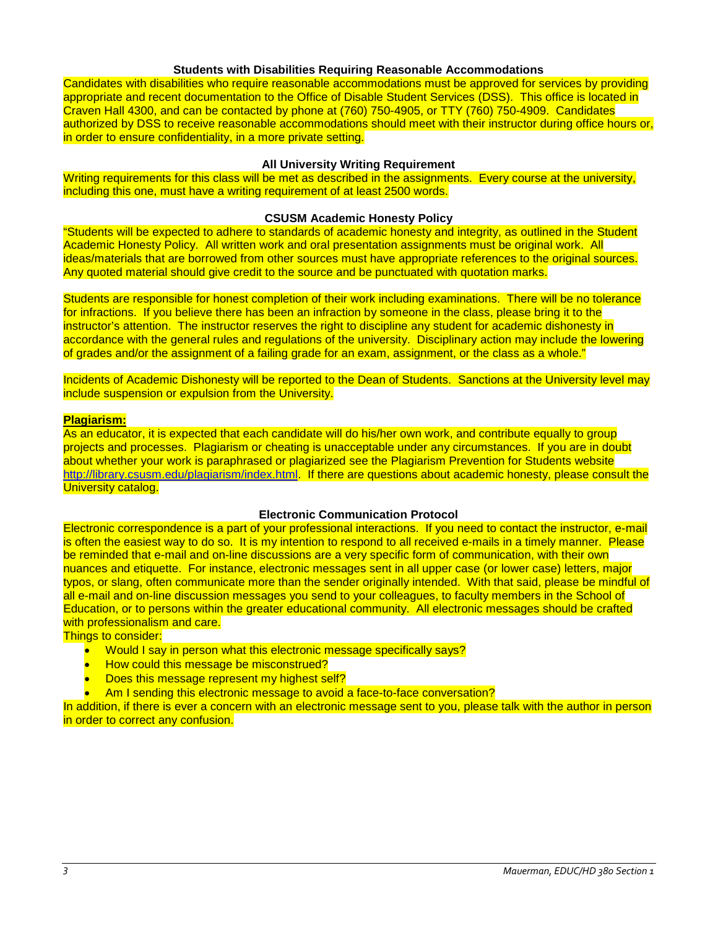#### **Students with Disabilities Requiring Reasonable Accommodations**

Candidates with disabilities who require reasonable accommodations must be approved for services by providing appropriate and recent documentation to the Office of Disable Student Services (DSS). This office is located in Craven Hall 4300, and can be contacted by phone at (760) 750-4905, or TTY (760) 750-4909. Candidates authorized by DSS to receive reasonable accommodations should meet with their instructor during office hours or, in order to ensure confidentiality, in a more private setting.

## **All University Writing Requirement**

Writing requirements for this class will be met as described in the assignments. Every course at the university, including this one, must have a writing requirement of at least 2500 words.

#### **CSUSM Academic Honesty Policy**

"Students will be expected to adhere to standards of academic honesty and integrity, as outlined in the Student Academic Honesty Policy. All written work and oral presentation assignments must be original work. All ideas/materials that are borrowed from other sources must have appropriate references to the original sources. Any quoted material should give credit to the source and be punctuated with quotation marks.

Students are responsible for honest completion of their work including examinations. There will be no tolerance for infractions. If you believe there has been an infraction by someone in the class, please bring it to the instructor's attention. The instructor reserves the right to discipline any student for academic dishonesty in accordance with the general rules and regulations of the university. Disciplinary action may include the lowering of grades and/or the assignment of a failing grade for an exam, assignment, or the class as a whole."

Incidents of Academic Dishonesty will be reported to the Dean of Students. Sanctions at the University level may include suspension or expulsion from the University.

#### **Plagiarism:**

As an educator, it is expected that each candidate will do his/her own work, and contribute equally to group projects and processes. Plagiarism or cheating is unacceptable under any circumstances. If you are in doubt about whether your work is paraphrased or plagiarized see the Plagiarism Prevention for Students website [http://library.csusm.edu/plagiarism/index.html.](http://library.csusm.edu/plagiarism/index.html) If there are questions about academic honesty, please consult the **University catalog.** 

#### **Electronic Communication Protocol**

Electronic correspondence is a part of your professional interactions. If you need to contact the instructor, e-mail is often the easiest way to do so. It is my intention to respond to all received e-mails in a timely manner. Please be reminded that e-mail and on-line discussions are a very specific form of communication, with their own nuances and etiquette. For instance, electronic messages sent in all upper case (or lower case) letters, major typos, or slang, often communicate more than the sender originally intended. With that said, please be mindful of all e-mail and on-line discussion messages you send to your colleagues, to faculty members in the School of Education, or to persons within the greater educational community. All electronic messages should be crafted with professionalism and care.

Things to consider:

- Would I say in person what this electronic message specifically says?
- How could this message be misconstrued?
- Does this message represent my highest self?
- Am I sending this electronic message to avoid a face-to-face conversation?

In addition, if there is ever a concern with an electronic message sent to you, please talk with the author in person in order to correct any confusion.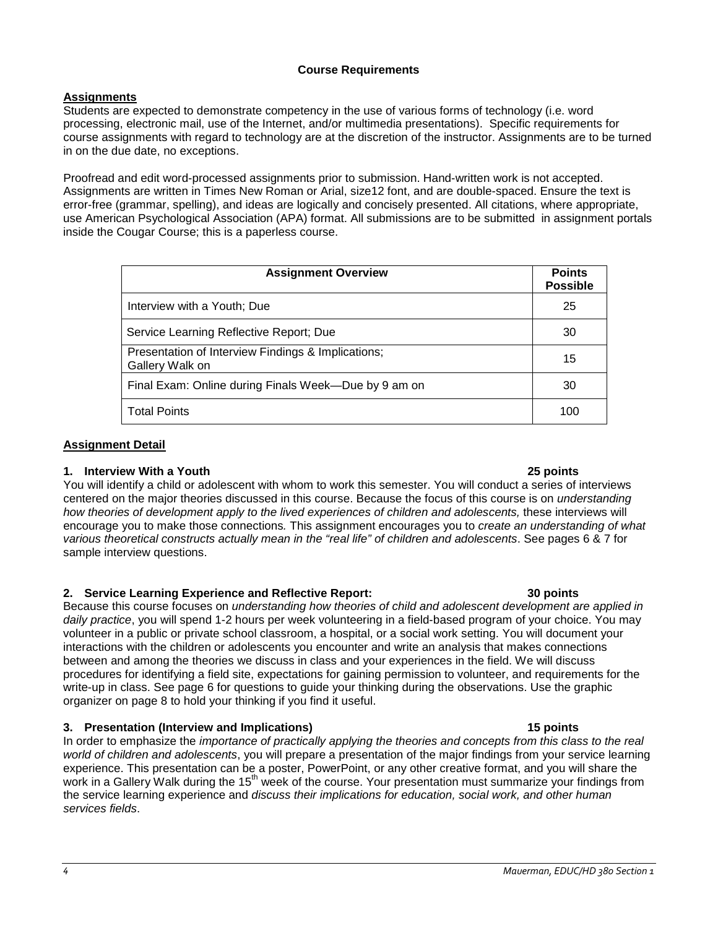# **Course Requirements**

# **Assignments**

Students are expected to demonstrate competency in the use of various forms of technology (i.e. word processing, electronic mail, use of the Internet, and/or multimedia presentations). Specific requirements for course assignments with regard to technology are at the discretion of the instructor. Assignments are to be turned in on the due date, no exceptions.

Proofread and edit word-processed assignments prior to submission. Hand-written work is not accepted. Assignments are written in Times New Roman or Arial, size12 font, and are double-spaced. Ensure the text is error-free (grammar, spelling), and ideas are logically and concisely presented. All citations, where appropriate, use American Psychological Association (APA) format. All submissions are to be submitted in assignment portals inside the Cougar Course; this is a paperless course.

| <b>Assignment Overview</b>                                            |     |  |
|-----------------------------------------------------------------------|-----|--|
| Interview with a Youth; Due                                           | 25  |  |
| Service Learning Reflective Report; Due                               | 30  |  |
| Presentation of Interview Findings & Implications;<br>Gallery Walk on | 15  |  |
| Final Exam: Online during Finals Week—Due by 9 am on                  | 30  |  |
| <b>Total Points</b>                                                   | 100 |  |

# **Assignment Detail**

# **1. Interview With a Youth 25 points**

You will identify a child or adolescent with whom to work this semester. You will conduct a series of interviews centered on the major theories discussed in this course. Because the focus of this course is on *understanding how theories of development apply to the lived experiences of children and adolescents, these interviews will* encourage you to make those connections*.* This assignment encourages you to *create an understanding of what various theoretical constructs actually mean in the "real life" of children and adolescents*. See pages 6 & 7 for sample interview questions.

# **2. Service Learning Experience and Reflective Report: 30 points**

Because this course focuses on *understanding how theories of child and adolescent development are applied in daily practice*, you will spend 1-2 hours per week volunteering in a field-based program of your choice. You may volunteer in a public or private school classroom, a hospital, or a social work setting. You will document your interactions with the children or adolescents you encounter and write an analysis that makes connections between and among the theories we discuss in class and your experiences in the field. We will discuss procedures for identifying a field site, expectations for gaining permission to volunteer, and requirements for the write-up in class. See page 6 for questions to guide your thinking during the observations. Use the graphic organizer on page 8 to hold your thinking if you find it useful.

# **3. Presentation (Interview and Implications) 15 points**

In order to emphasize the *importance of practically applying the theories and concepts from this class to the real world of children and adolescents*, you will prepare a presentation of the major findings from your service learning experience. This presentation can be a poster, PowerPoint, or any other creative format, and you will share the work in a Gallery Walk during the 15<sup>th</sup> week of the course. Your presentation must summarize your findings from the service learning experience and *discuss their implications for education, social work, and other human services fields*.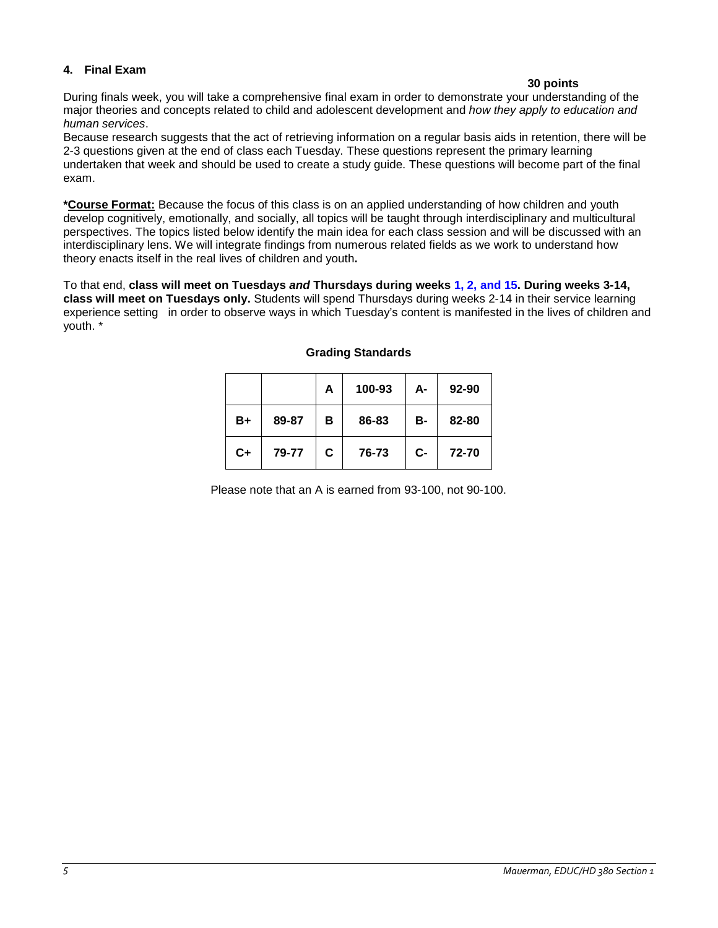# **4. Final Exam**

# **30 points**

During finals week, you will take a comprehensive final exam in order to demonstrate your understanding of the major theories and concepts related to child and adolescent development and *how they apply to education and human services*.

Because research suggests that the act of retrieving information on a regular basis aids in retention, there will be 2-3 questions given at the end of class each Tuesday. These questions represent the primary learning undertaken that week and should be used to create a study guide. These questions will become part of the final exam.

**\*Course Format:** Because the focus of this class is on an applied understanding of how children and youth develop cognitively, emotionally, and socially, all topics will be taught through interdisciplinary and multicultural perspectives. The topics listed below identify the main idea for each class session and will be discussed with an interdisciplinary lens. We will integrate findings from numerous related fields as we work to understand how theory enacts itself in the real lives of children and youth**.**

To that end, **class will meet on Tuesdays** *and* **Thursdays during weeks 1, 2, and 15. During weeks 3-14, class will meet on Tuesdays only.** Students will spend Thursdays during weeks 2-14 in their service learning experience setting in order to observe ways in which Tuesday's content is manifested in the lives of children and youth. \*

|      |       | A | 100-93 | А- | 92-90 |
|------|-------|---|--------|----|-------|
| B+   | 89-87 | в | 86-83  | в- | 82-80 |
| $C+$ | 79-77 | С | 76-73  | C- | 72-70 |

# **Grading Standards**

Please note that an A is earned from 93-100, not 90-100.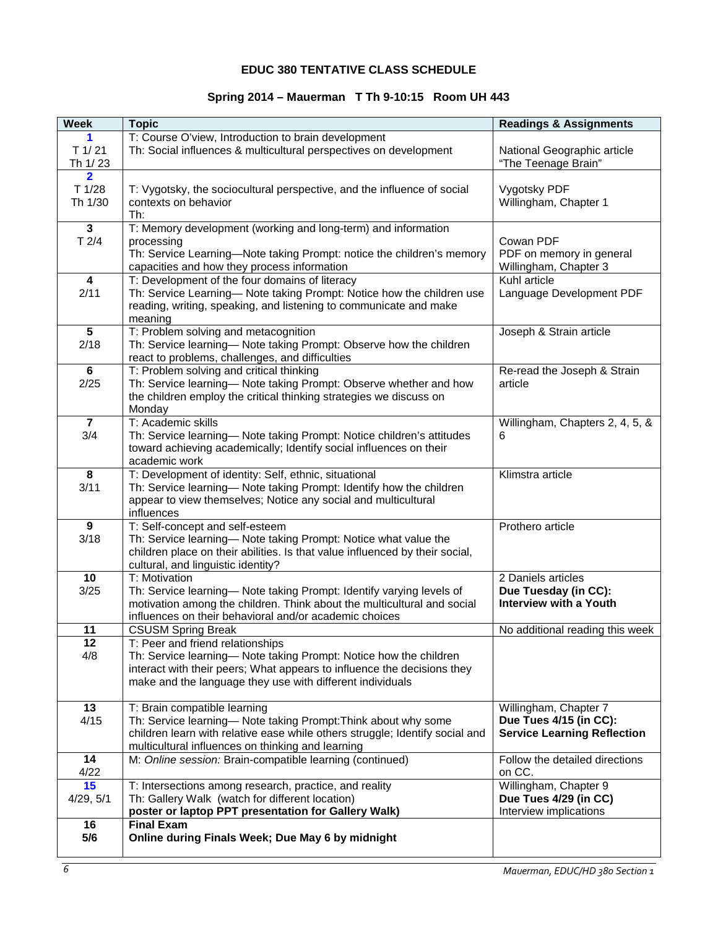# **EDUC 380 TENTATIVE CLASS SCHEDULE**

# **Spring 2014 – Mauerman T Th 9-10:15 Room UH 443**

| <b>Week</b>             | <b>Topic</b>                                                                 | <b>Readings &amp; Assignments</b>  |
|-------------------------|------------------------------------------------------------------------------|------------------------------------|
| 1.                      | T: Course O'view, Introduction to brain development                          |                                    |
| $T$ 1/21                | Th: Social influences & multicultural perspectives on development            | National Geographic article        |
| Th 1/23                 |                                                                              | "The Teenage Brain"                |
| $\overline{\mathbf{2}}$ |                                                                              |                                    |
| T 1/28                  | T: Vygotsky, the sociocultural perspective, and the influence of social      | Vygotsky PDF                       |
| Th 1/30                 | contexts on behavior                                                         | Willingham, Chapter 1              |
|                         | Th:                                                                          |                                    |
| $\mathbf 3$             | T: Memory development (working and long-term) and information                |                                    |
| T2/4                    | processing                                                                   | Cowan PDF                          |
|                         | Th: Service Learning-Note taking Prompt: notice the children's memory        | PDF on memory in general           |
|                         | capacities and how they process information                                  | Willingham, Chapter 3              |
| $\overline{\mathbf{4}}$ | T: Development of the four domains of literacy                               | Kuhl article                       |
| 2/11                    | Th: Service Learning- Note taking Prompt: Notice how the children use        | Language Development PDF           |
|                         | reading, writing, speaking, and listening to communicate and make            |                                    |
|                         | meaning                                                                      |                                    |
| $\overline{5}$          | T: Problem solving and metacognition                                         | Joseph & Strain article            |
| 2/18                    | Th: Service learning- Note taking Prompt: Observe how the children           |                                    |
|                         | react to problems, challenges, and difficulties                              |                                    |
| 6                       | T: Problem solving and critical thinking                                     | Re-read the Joseph & Strain        |
| 2/25                    | Th: Service learning- Note taking Prompt: Observe whether and how            | article                            |
|                         | the children employ the critical thinking strategies we discuss on           |                                    |
|                         | Monday                                                                       |                                    |
| $\overline{7}$          | T: Academic skills                                                           | Willingham, Chapters 2, 4, 5, &    |
| 3/4                     | Th: Service learning- Note taking Prompt: Notice children's attitudes        | 6                                  |
|                         | toward achieving academically; Identify social influences on their           |                                    |
|                         | academic work                                                                |                                    |
| 8                       | T: Development of identity: Self, ethnic, situational                        | Klimstra article                   |
| 3/11                    | Th: Service learning- Note taking Prompt: Identify how the children          |                                    |
|                         | appear to view themselves; Notice any social and multicultural<br>influences |                                    |
| 9                       | T: Self-concept and self-esteem                                              | Prothero article                   |
| 3/18                    | Th: Service learning- Note taking Prompt: Notice what value the              |                                    |
|                         | children place on their abilities. Is that value influenced by their social, |                                    |
|                         | cultural, and linguistic identity?                                           |                                    |
| 10                      | T: Motivation                                                                | 2 Daniels articles                 |
| 3/25                    | Th: Service learning- Note taking Prompt: Identify varying levels of         | Due Tuesday (in CC):               |
|                         | motivation among the children. Think about the multicultural and social      | Interview with a Youth             |
|                         | influences on their behavioral and/or academic choices                       |                                    |
| 11                      | <b>CSUSM Spring Break</b>                                                    | No additional reading this week    |
| 12                      | T: Peer and friend relationships                                             |                                    |
| 4/8                     | Th: Service learning- Note taking Prompt: Notice how the children            |                                    |
|                         | interact with their peers; What appears to influence the decisions they      |                                    |
|                         | make and the language they use with different individuals                    |                                    |
|                         |                                                                              |                                    |
| 13                      | T: Brain compatible learning                                                 | Willingham, Chapter 7              |
| 4/15                    | Th: Service learning- Note taking Prompt: Think about why some               | Due Tues 4/15 (in CC):             |
|                         | children learn with relative ease while others struggle; Identify social and | <b>Service Learning Reflection</b> |
|                         | multicultural influences on thinking and learning                            |                                    |
| 14                      | M: Online session: Brain-compatible learning (continued)                     | Follow the detailed directions     |
| 4/22                    |                                                                              | on CC.                             |
| 15                      | T: Intersections among research, practice, and reality                       | Willingham, Chapter 9              |
| 4/29, 5/1               | Th: Gallery Walk (watch for different location)                              | Due Tues 4/29 (in CC)              |
|                         | poster or laptop PPT presentation for Gallery Walk)                          | Interview implications             |
| 16                      | <b>Final Exam</b>                                                            |                                    |
| 5/6                     | Online during Finals Week; Due May 6 by midnight                             |                                    |
|                         |                                                                              |                                    |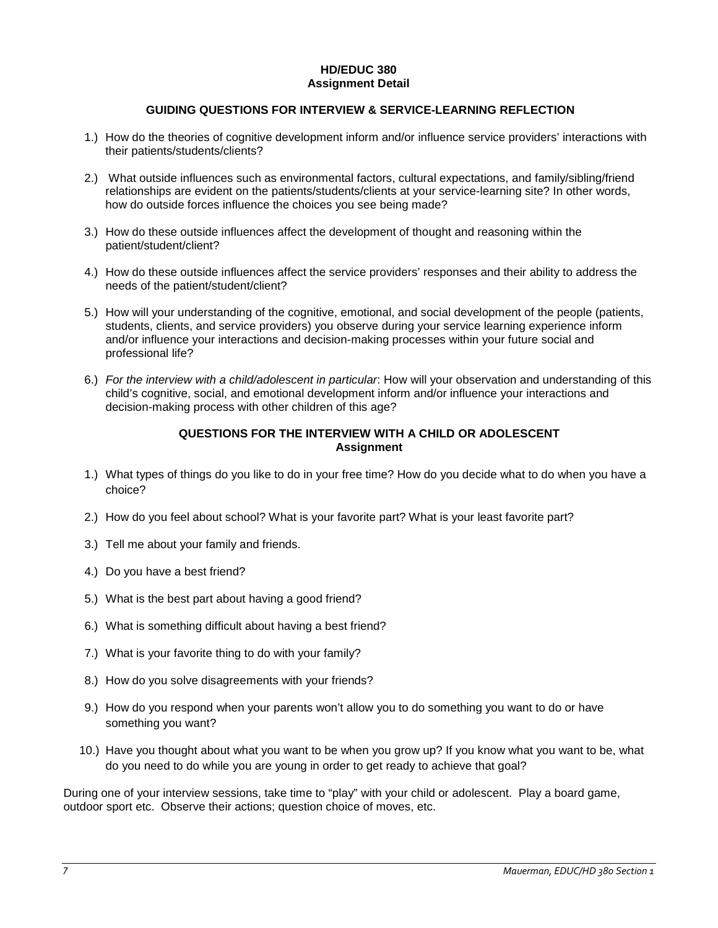#### **HD/EDUC 380 Assignment Detail**

# **GUIDING QUESTIONS FOR INTERVIEW & SERVICE-LEARNING REFLECTION**

- 1.) How do the theories of cognitive development inform and/or influence service providers' interactions with their patients/students/clients?
- 2.) What outside influences such as environmental factors, cultural expectations, and family/sibling/friend relationships are evident on the patients/students/clients at your service-learning site? In other words, how do outside forces influence the choices you see being made?
- 3.) How do these outside influences affect the development of thought and reasoning within the patient/student/client?
- 4.) How do these outside influences affect the service providers' responses and their ability to address the needs of the patient/student/client?
- 5.) How will your understanding of the cognitive, emotional, and social development of the people (patients, students, clients, and service providers) you observe during your service learning experience inform and/or influence your interactions and decision-making processes within your future social and professional life?
- 6.) *For the interview with a child/adolescent in particular*: How will your observation and understanding of this child's cognitive, social, and emotional development inform and/or influence your interactions and decision-making process with other children of this age?

# **QUESTIONS FOR THE INTERVIEW WITH A CHILD OR ADOLESCENT Assignment**

- 1.) What types of things do you like to do in your free time? How do you decide what to do when you have a choice?
- 2.) How do you feel about school? What is your favorite part? What is your least favorite part?
- 3.) Tell me about your family and friends.
- 4.) Do you have a best friend?
- 5.) What is the best part about having a good friend?
- 6.) What is something difficult about having a best friend?
- 7.) What is your favorite thing to do with your family?
- 8.) How do you solve disagreements with your friends?
- 9.) How do you respond when your parents won't allow you to do something you want to do or have something you want?
- 10.) Have you thought about what you want to be when you grow up? If you know what you want to be, what do you need to do while you are young in order to get ready to achieve that goal?

During one of your interview sessions, take time to "play" with your child or adolescent. Play a board game, outdoor sport etc. Observe their actions; question choice of moves, etc.